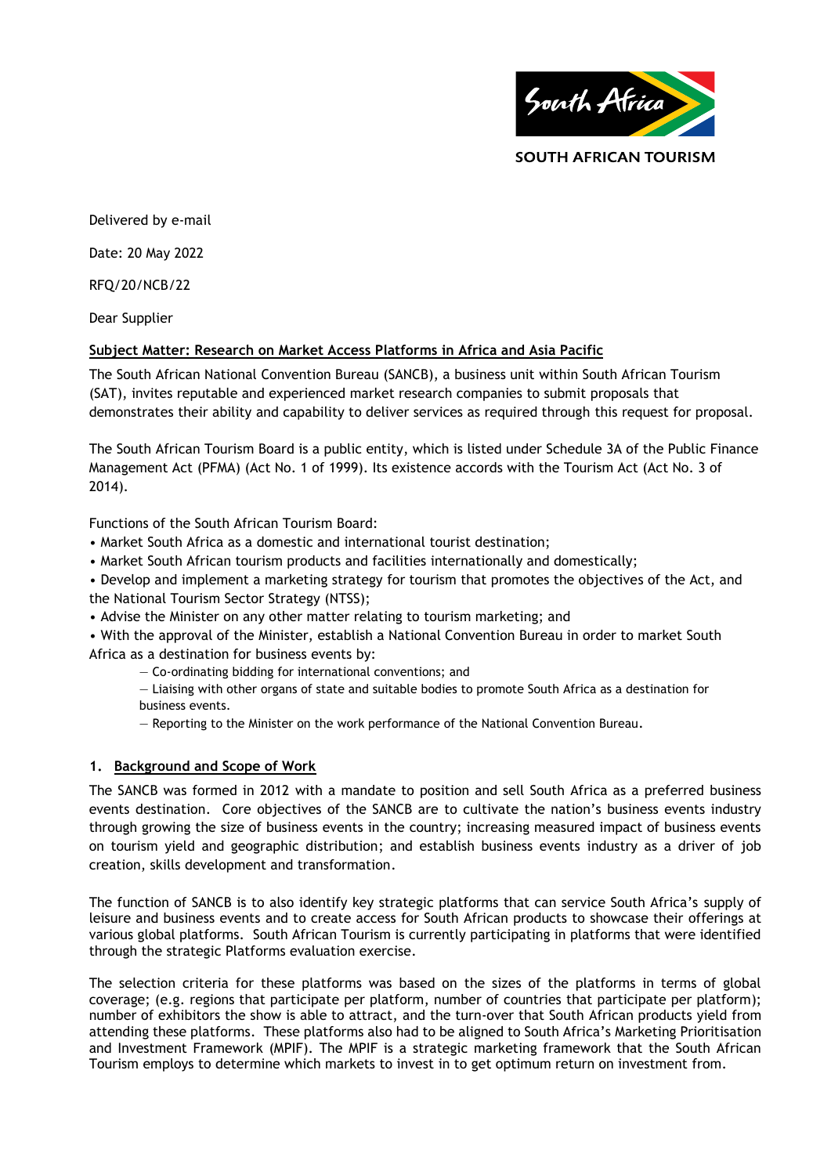

### **SOUTH AFRICAN TOURISM**

Delivered by e-mail

Date: 20 May 2022

RFQ/20/NCB/22

Dear Supplier

## **Subject Matter: Research on Market Access Platforms in Africa and Asia Pacific**

The South African National Convention Bureau (SANCB), a business unit within South African Tourism (SAT), invites reputable and experienced market research companies to submit proposals that demonstrates their ability and capability to deliver services as required through this request for proposal.

The South African Tourism Board is a public entity, which is listed under Schedule 3A of the Public Finance Management Act (PFMA) (Act No. 1 of 1999). Its existence accords with the Tourism Act (Act No. 3 of 2014).

Functions of the South African Tourism Board:

- Market South Africa as a domestic and international tourist destination;
- Market South African tourism products and facilities internationally and domestically;

• Develop and implement a marketing strategy for tourism that promotes the objectives of the Act, and the National Tourism Sector Strategy (NTSS);

• Advise the Minister on any other matter relating to tourism marketing; and

• With the approval of the Minister, establish a National Convention Bureau in order to market South Africa as a destination for business events by:

— Co-ordinating bidding for international conventions; and

— Liaising with other organs of state and suitable bodies to promote South Africa as a destination for business events.

— Reporting to the Minister on the work performance of the National Convention Bureau.

## **1. Background and Scope of Work**

The SANCB was formed in 2012 with a mandate to position and sell South Africa as a preferred business events destination. Core objectives of the SANCB are to cultivate the nation's business events industry through growing the size of business events in the country; increasing measured impact of business events on tourism yield and geographic distribution; and establish business events industry as a driver of job creation, skills development and transformation.

The function of SANCB is to also identify key strategic platforms that can service South Africa's supply of leisure and business events and to create access for South African products to showcase their offerings at various global platforms. South African Tourism is currently participating in platforms that were identified through the strategic Platforms evaluation exercise.

The selection criteria for these platforms was based on the sizes of the platforms in terms of global coverage; (e.g. regions that participate per platform, number of countries that participate per platform); number of exhibitors the show is able to attract, and the turn-over that South African products yield from attending these platforms. These platforms also had to be aligned to South Africa's Marketing Prioritisation and Investment Framework (MPIF). The MPIF is a strategic marketing framework that the South African Tourism employs to determine which markets to invest in to get optimum return on investment from.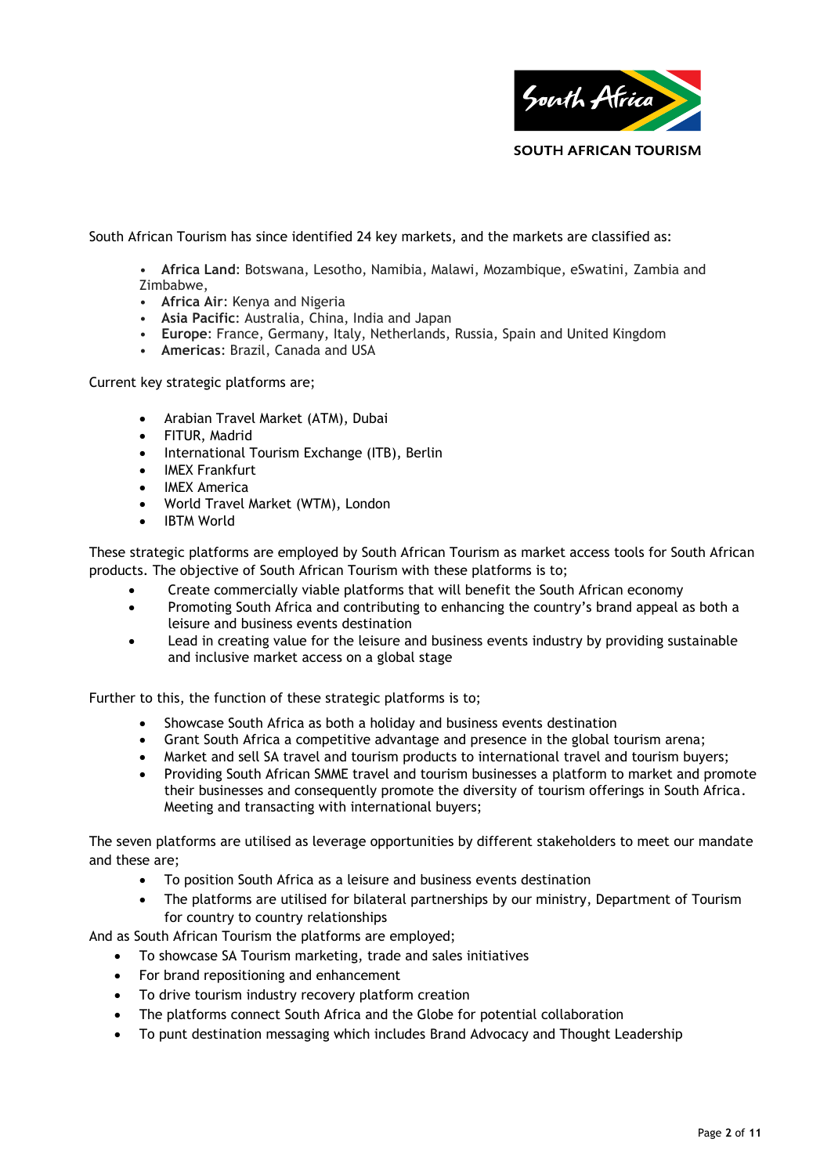

South African Tourism has since identified 24 key markets, and the markets are classified as:

• **Africa Land**: Botswana, Lesotho, Namibia, Malawi, Mozambique, eSwatini, Zambia and Zimbabwe,

- **Africa Air**: Kenya and Nigeria
- **Asia Pacific**: Australia, China, India and Japan
- **Europe**: France, Germany, Italy, Netherlands, Russia, Spain and United Kingdom
- **Americas**: Brazil, Canada and USA

Current key strategic platforms are;

- Arabian Travel Market (ATM), Dubai
- FITUR, Madrid
- International Tourism Exchange (ITB), Berlin
- IMEX Frankfurt
- IMEX America
- World Travel Market (WTM), London
- IBTM World

These strategic platforms are employed by South African Tourism as market access tools for South African products. The objective of South African Tourism with these platforms is to;

- Create commercially viable platforms that will benefit the South African economy
- Promoting South Africa and contributing to enhancing the country's brand appeal as both a leisure and business events destination
- Lead in creating value for the leisure and business events industry by providing sustainable and inclusive market access on a global stage

Further to this, the function of these strategic platforms is to;

- Showcase South Africa as both a holiday and business events destination
- Grant South Africa a competitive advantage and presence in the global tourism arena;
- Market and sell SA travel and tourism products to international travel and tourism buyers;
- Providing South African SMME travel and tourism businesses a platform to market and promote their businesses and consequently promote the diversity of tourism offerings in South Africa. Meeting and transacting with international buyers;

The seven platforms are utilised as leverage opportunities by different stakeholders to meet our mandate and these are;

- To position South Africa as a leisure and business events destination
- The platforms are utilised for bilateral partnerships by our ministry, Department of Tourism for country to country relationships

And as South African Tourism the platforms are employed;

- To showcase SA Tourism marketing, trade and sales initiatives
- For brand repositioning and enhancement
- To drive tourism industry recovery platform creation
- The platforms connect South Africa and the Globe for potential collaboration
- To punt destination messaging which includes Brand Advocacy and Thought Leadership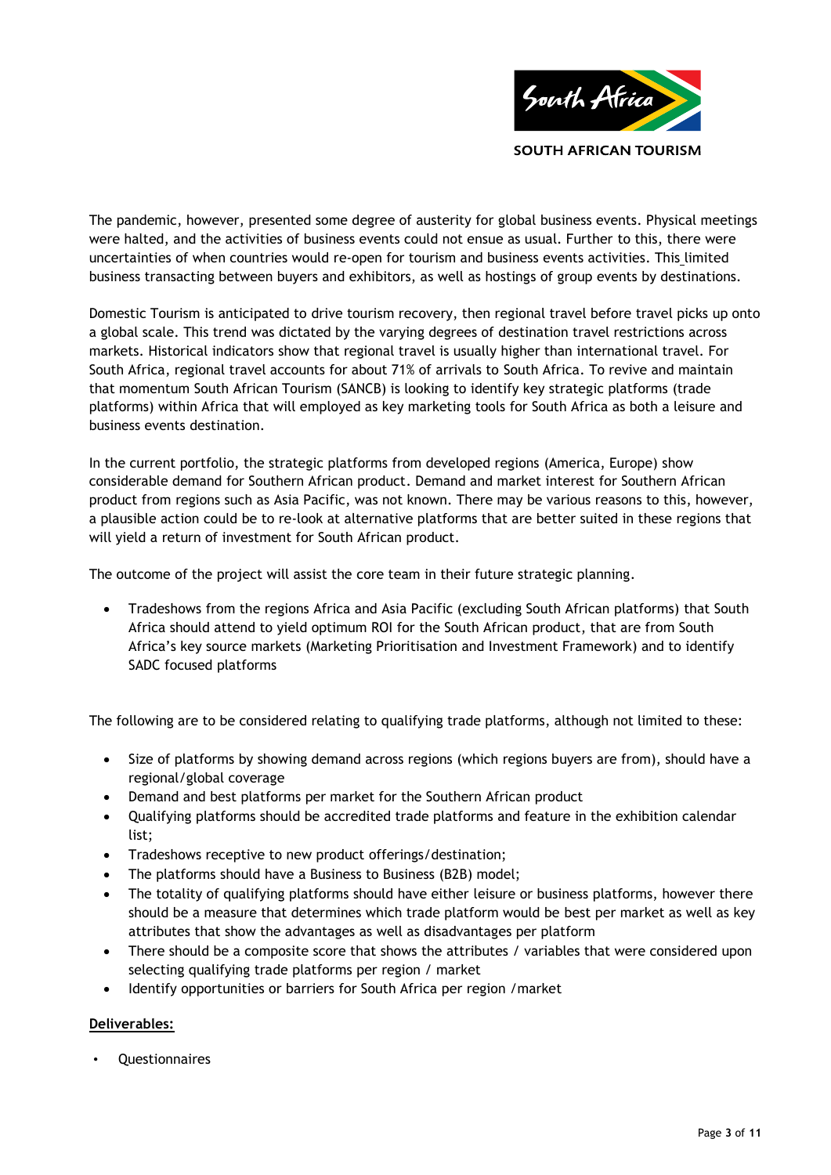

The pandemic, however, presented some degree of austerity for global business events. Physical meetings were halted, and the activities of business events could not ensue as usual. Further to this, there were uncertainties of when countries would re-open for tourism and business events activities. This limited business transacting between buyers and exhibitors, as well as hostings of group events by destinations.

Domestic Tourism is anticipated to drive tourism recovery, then regional travel before travel picks up onto a global scale. This trend was dictated by the varying degrees of destination travel restrictions across markets. Historical indicators show that regional travel is usually higher than international travel. For South Africa, regional travel accounts for about 71% of arrivals to South Africa. To revive and maintain that momentum South African Tourism (SANCB) is looking to identify key strategic platforms (trade platforms) within Africa that will employed as key marketing tools for South Africa as both a leisure and business events destination.

In the current portfolio, the strategic platforms from developed regions (America, Europe) show considerable demand for Southern African product. Demand and market interest for Southern African product from regions such as Asia Pacific, was not known. There may be various reasons to this, however, a plausible action could be to re-look at alternative platforms that are better suited in these regions that will yield a return of investment for South African product.

The outcome of the project will assist the core team in their future strategic planning.

 Tradeshows from the regions Africa and Asia Pacific (excluding South African platforms) that South Africa should attend to yield optimum ROI for the South African product, that are from South Africa's key source markets (Marketing Prioritisation and Investment Framework) and to identify SADC focused platforms

The following are to be considered relating to qualifying trade platforms, although not limited to these:

- Size of platforms by showing demand across regions (which regions buyers are from), should have a regional/global coverage
- Demand and best platforms per market for the Southern African product
- Qualifying platforms should be accredited trade platforms and feature in the exhibition calendar list;
- Tradeshows receptive to new product offerings/destination;
- The platforms should have a Business to Business (B2B) model;
- The totality of qualifying platforms should have either leisure or business platforms, however there should be a measure that determines which trade platform would be best per market as well as key attributes that show the advantages as well as disadvantages per platform
- There should be a composite score that shows the attributes / variables that were considered upon selecting qualifying trade platforms per region / market
- Identify opportunities or barriers for South Africa per region / market

## **Deliverables:**

**Questionnaires**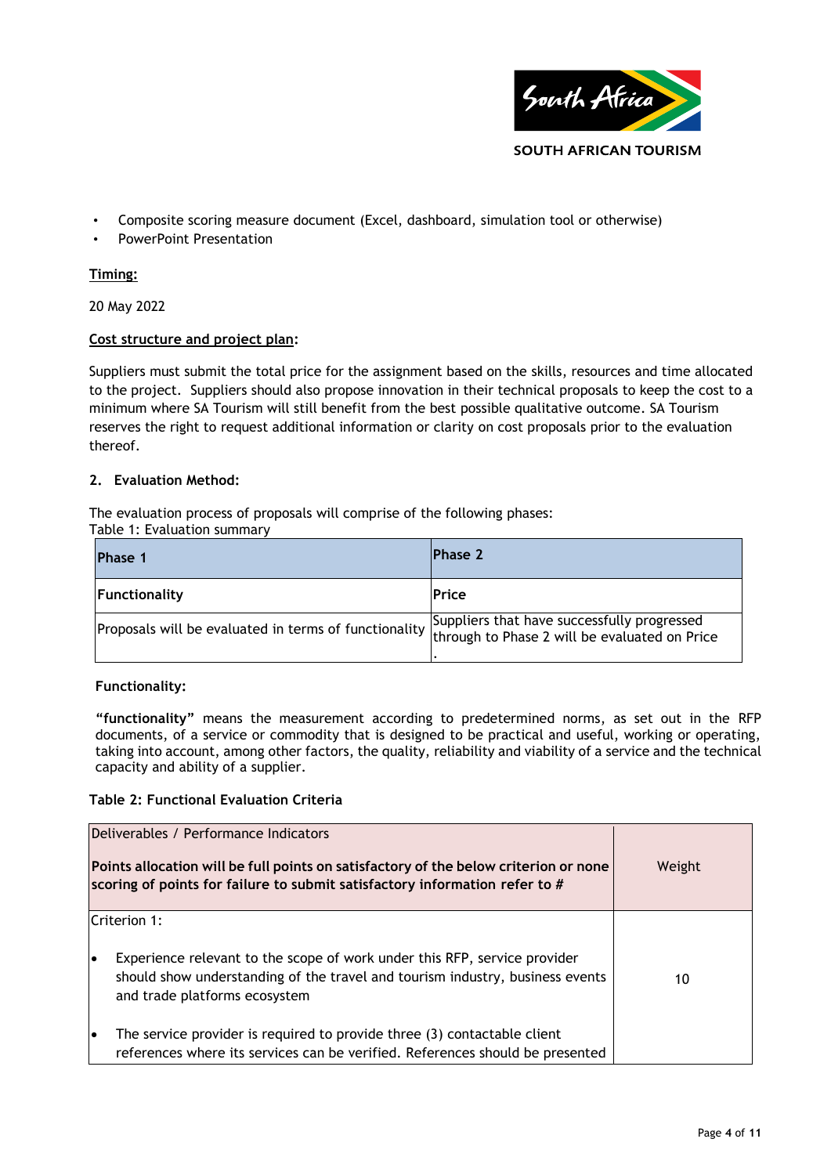

• Composite scoring measure document (Excel, dashboard, simulation tool or otherwise)

• PowerPoint Presentation

# **Timing:**

20 May 2022

# **Cost structure and project plan:**

Suppliers must submit the total price for the assignment based on the skills, resources and time allocated to the project. Suppliers should also propose innovation in their technical proposals to keep the cost to a minimum where SA Tourism will still benefit from the best possible qualitative outcome. SA Tourism reserves the right to request additional information or clarity on cost proposals prior to the evaluation thereof.

## **2. Evaluation Method:**

The evaluation process of proposals will comprise of the following phases:

Table 1: Evaluation summary

| <b>Phase 1</b>                                                                                                                                     | <b>Phase 2</b> |
|----------------------------------------------------------------------------------------------------------------------------------------------------|----------------|
| Functionality                                                                                                                                      | <b>Price</b>   |
| Proposals will be evaluated in terms of functionality Suppliers that have successfully progressed<br>through to Phase 2 will be evaluated on Price |                |

## **Functionality:**

**"functionality"** means the measurement according to predetermined norms, as set out in the RFP documents, of a service or commodity that is designed to be practical and useful, working or operating, taking into account, among other factors, the quality, reliability and viability of a service and the technical capacity and ability of a supplier.

## **Table 2: Functional Evaluation Criteria**

|           | Deliverables / Performance Indicators<br>Points allocation will be full points on satisfactory of the below criterion or none<br>scoring of points for failure to submit satisfactory information refer to # | Weight |
|-----------|--------------------------------------------------------------------------------------------------------------------------------------------------------------------------------------------------------------|--------|
| lo        | Criterion 1:<br>Experience relevant to the scope of work under this RFP, service provider<br>should show understanding of the travel and tourism industry, business events<br>and trade platforms ecosystem  | 10     |
| $\bullet$ | The service provider is required to provide three (3) contactable client<br>references where its services can be verified. References should be presented                                                    |        |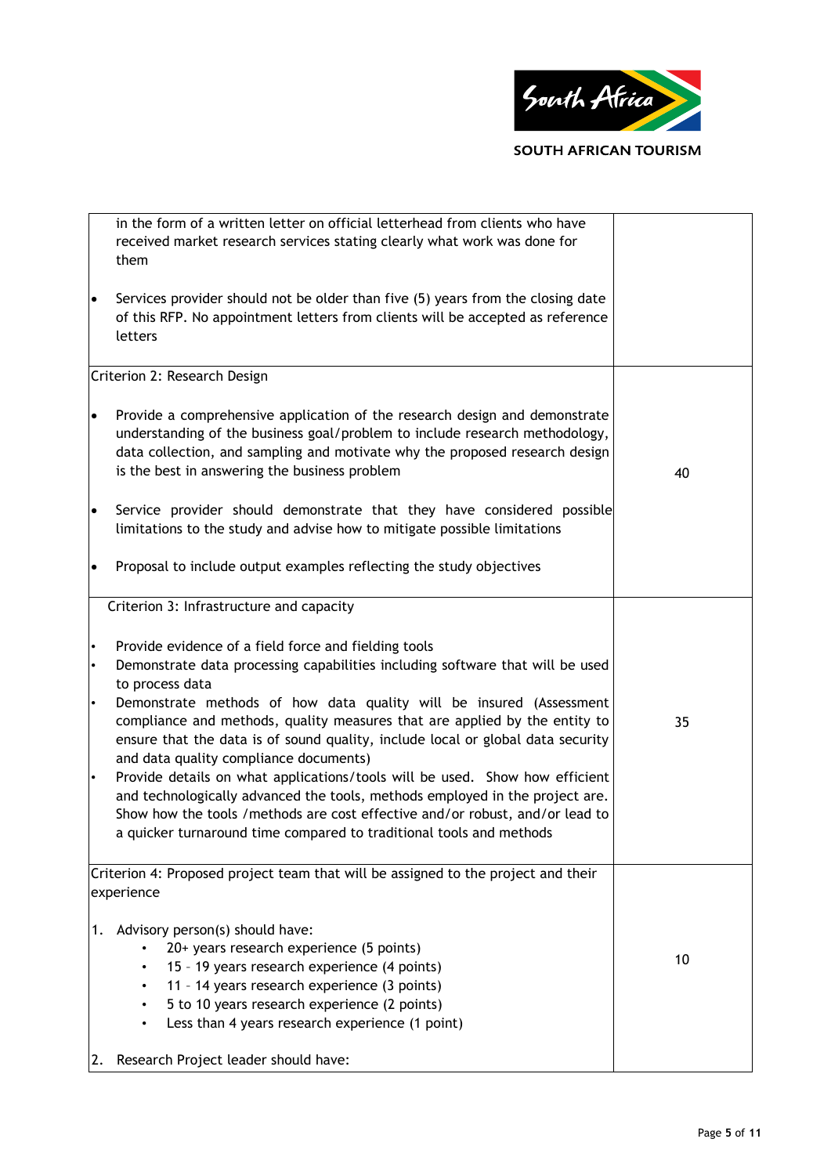

in the form of a written letter on official letterhead from clients who have received market research services stating clearly what work was done for them Services provider should not be older than five (5) years from the closing date of this RFP. No appointment letters from clients will be accepted as reference letters Criterion 2: Research Design Provide a comprehensive application of the research design and demonstrate understanding of the business goal/problem to include research methodology, data collection, and sampling and motivate why the proposed research design is the best in answering the business problem Service provider should demonstrate that they have considered possible limitations to the study and advise how to mitigate possible limitations Proposal to include output examples reflecting the study objectives 40 Criterion 3: Infrastructure and capacity Provide evidence of a field force and fielding tools • Demonstrate data processing capabilities including software that will be used to process data • Demonstrate methods of how data quality will be insured (Assessment compliance and methods, quality measures that are applied by the entity to ensure that the data is of sound quality, include local or global data security and data quality compliance documents) Provide details on what applications/tools will be used. Show how efficient and technologically advanced the tools, methods employed in the project are. Show how the tools /methods are cost effective and/or robust, and/or lead to a quicker turnaround time compared to traditional tools and methods 35 Criterion 4: Proposed project team that will be assigned to the project and their experience 1. Advisory person(s) should have: • 20+ years research experience (5 points) • 15 – 19 years research experience (4 points) • 11 - 14 years research experience (3 points) • 5 to 10 years research experience (2 points) Less than 4 years research experience (1 point) 10

2. Research Project leader should have: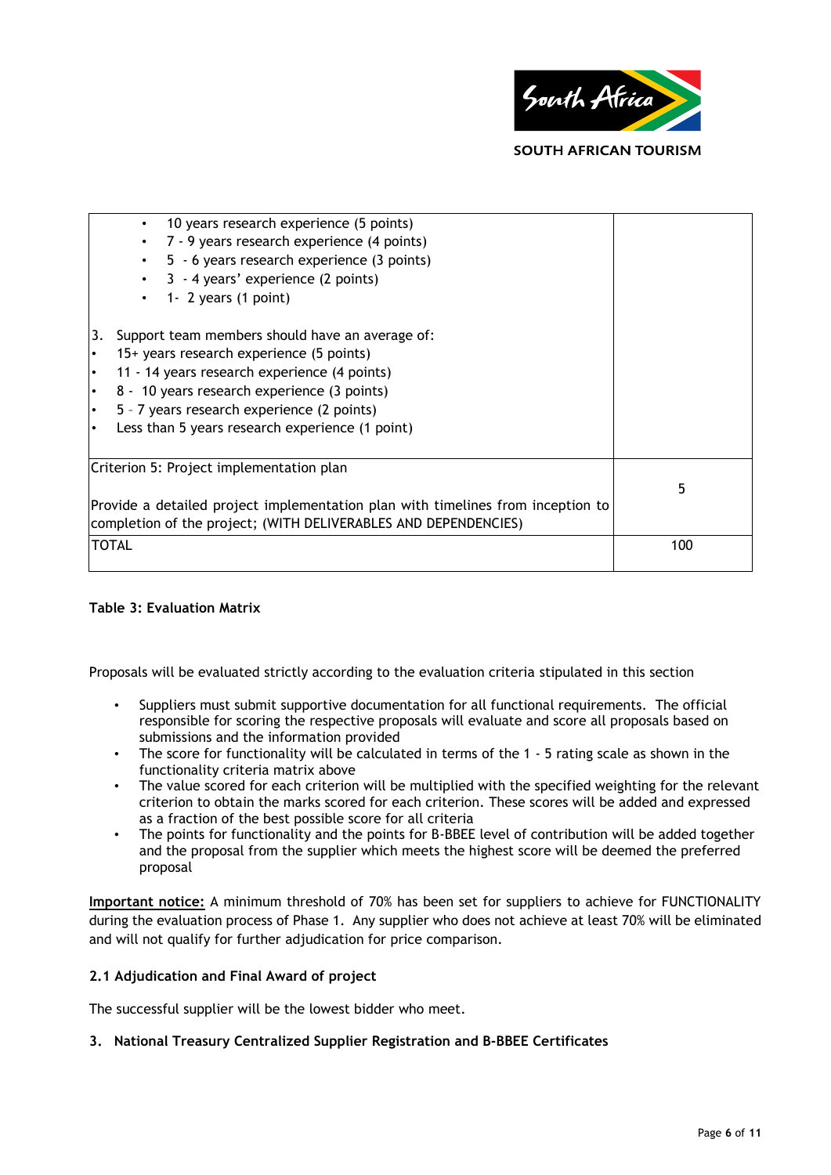

**SOUTH AFRICAN TOURISM** 

| 10 years research experience (5 points)<br>$\bullet$                                                                                               |     |  |  |
|----------------------------------------------------------------------------------------------------------------------------------------------------|-----|--|--|
| 7 - 9 years research experience (4 points)<br>$\bullet$                                                                                            |     |  |  |
| 5 - 6 years research experience (3 points)<br>$\bullet$                                                                                            |     |  |  |
| 3 - 4 years' experience (2 points)<br>$\bullet$                                                                                                    |     |  |  |
| 1- 2 years $(1$ point)<br>$\bullet$                                                                                                                |     |  |  |
| Support team members should have an average of:<br>3.                                                                                              |     |  |  |
| 15+ years research experience (5 points)<br>$\bullet$                                                                                              |     |  |  |
| 11 - 14 years research experience (4 points)<br>$\bullet$                                                                                          |     |  |  |
| 8 - 10 years research experience (3 points)<br>$\bullet$                                                                                           |     |  |  |
| 5 - 7 years research experience (2 points)<br>I۰                                                                                                   |     |  |  |
| Less than 5 years research experience (1 point)<br>I۰                                                                                              |     |  |  |
| Criterion 5: Project implementation plan                                                                                                           |     |  |  |
|                                                                                                                                                    | 5   |  |  |
| Provide a detailed project implementation plan with timelines from inception to<br>completion of the project; (WITH DELIVERABLES AND DEPENDENCIES) |     |  |  |
| <b>TOTAL</b>                                                                                                                                       | 100 |  |  |
|                                                                                                                                                    |     |  |  |

## **Table 3: Evaluation Matrix**

Proposals will be evaluated strictly according to the evaluation criteria stipulated in this section

- Suppliers must submit supportive documentation for all functional requirements. The official responsible for scoring the respective proposals will evaluate and score all proposals based on submissions and the information provided
- The score for functionality will be calculated in terms of the 1 5 rating scale as shown in the functionality criteria matrix above
- The value scored for each criterion will be multiplied with the specified weighting for the relevant criterion to obtain the marks scored for each criterion. These scores will be added and expressed as a fraction of the best possible score for all criteria
- The points for functionality and the points for B-BBEE level of contribution will be added together and the proposal from the supplier which meets the highest score will be deemed the preferred proposal

**Important notice:** A minimum threshold of 70% has been set for suppliers to achieve for FUNCTIONALITY during the evaluation process of Phase 1. Any supplier who does not achieve at least 70% will be eliminated and will not qualify for further adjudication for price comparison.

## **2.1 Adjudication and Final Award of project**

The successful supplier will be the lowest bidder who meet.

## **3. National Treasury Centralized Supplier Registration and B-BBEE Certificates**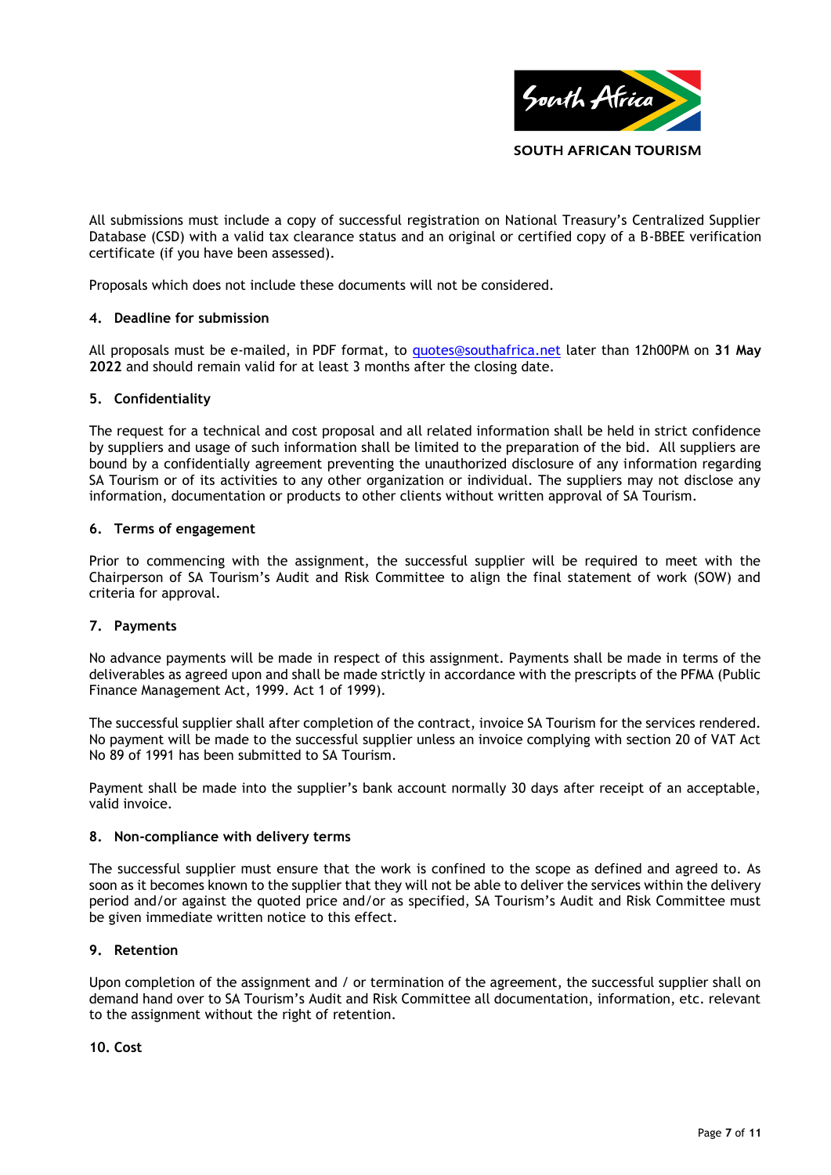

All submissions must include a copy of successful registration on National Treasury's Centralized Supplier Database (CSD) with a valid tax clearance status and an original or certified copy of a B-BBEE verification certificate (if you have been assessed).

Proposals which does not include these documents will not be considered.

### **4. Deadline for submission**

All proposals must be e-mailed, in PDF format, to [quotes@southafrica.net](mailto:quotes@southafrica.net) later than 12h00PM on **31 May 2022** and should remain valid for at least 3 months after the closing date.

### **5. Confidentiality**

The request for a technical and cost proposal and all related information shall be held in strict confidence by suppliers and usage of such information shall be limited to the preparation of the bid. All suppliers are bound by a confidentially agreement preventing the unauthorized disclosure of any information regarding SA Tourism or of its activities to any other organization or individual. The suppliers may not disclose any information, documentation or products to other clients without written approval of SA Tourism.

#### **6. Terms of engagement**

Prior to commencing with the assignment, the successful supplier will be required to meet with the Chairperson of SA Tourism's Audit and Risk Committee to align the final statement of work (SOW) and criteria for approval.

## **7. Payments**

No advance payments will be made in respect of this assignment. Payments shall be made in terms of the deliverables as agreed upon and shall be made strictly in accordance with the prescripts of the PFMA (Public Finance Management Act, 1999. Act 1 of 1999).

The successful supplier shall after completion of the contract, invoice SA Tourism for the services rendered. No payment will be made to the successful supplier unless an invoice complying with section 20 of VAT Act No 89 of 1991 has been submitted to SA Tourism.

Payment shall be made into the supplier's bank account normally 30 days after receipt of an acceptable, valid invoice.

#### **8. Non-compliance with delivery terms**

The successful supplier must ensure that the work is confined to the scope as defined and agreed to. As soon as it becomes known to the supplier that they will not be able to deliver the services within the delivery period and/or against the quoted price and/or as specified, SA Tourism's Audit and Risk Committee must be given immediate written notice to this effect.

#### **9. Retention**

Upon completion of the assignment and / or termination of the agreement, the successful supplier shall on demand hand over to SA Tourism's Audit and Risk Committee all documentation, information, etc. relevant to the assignment without the right of retention.

**10. Cost**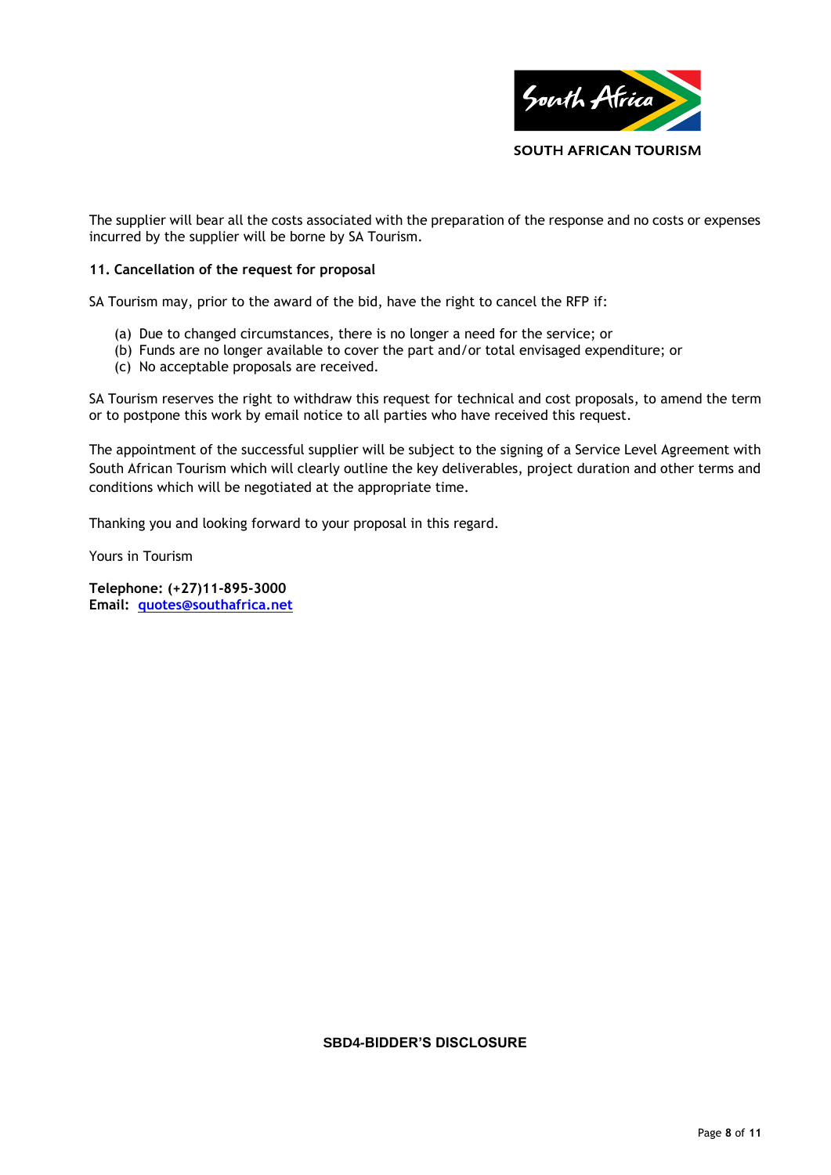

The supplier will bear all the costs associated with the preparation of the response and no costs or expenses incurred by the supplier will be borne by SA Tourism.

### **11. Cancellation of the request for proposal**

SA Tourism may, prior to the award of the bid, have the right to cancel the RFP if:

- (a) Due to changed circumstances, there is no longer a need for the service; or
- (b) Funds are no longer available to cover the part and/or total envisaged expenditure; or
- (c) No acceptable proposals are received.

SA Tourism reserves the right to withdraw this request for technical and cost proposals, to amend the term or to postpone this work by email notice to all parties who have received this request.

The appointment of the successful supplier will be subject to the signing of a Service Level Agreement with South African Tourism which will clearly outline the key deliverables, project duration and other terms and conditions which will be negotiated at the appropriate time.

Thanking you and looking forward to your proposal in this regard.

Yours in Tourism

**Telephone: (+27)11-895-3000 Email: [quotes@southafrica.net](mailto:quotes@southafrica.net)**

#### **SBD4-BIDDER'S DISCLOSURE**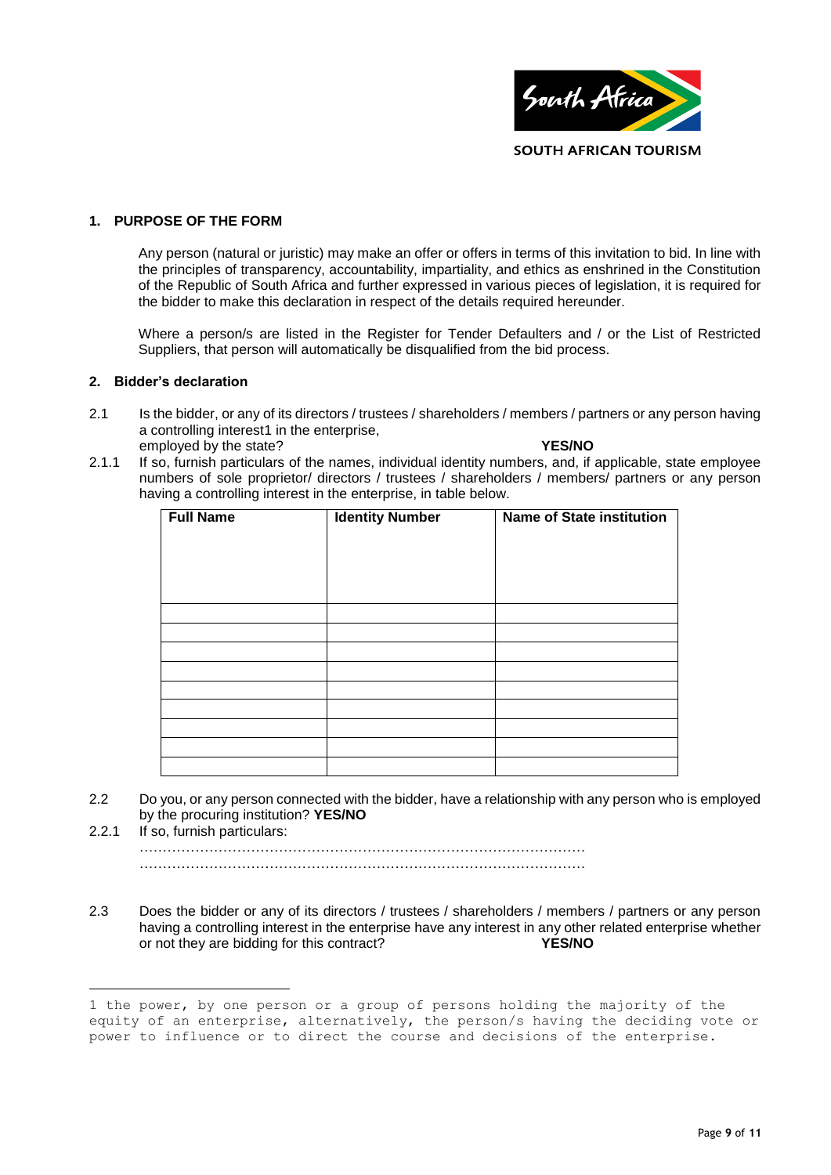

### **1. PURPOSE OF THE FORM**

Any person (natural or juristic) may make an offer or offers in terms of this invitation to bid. In line with the principles of transparency, accountability, impartiality, and ethics as enshrined in the Constitution of the Republic of South Africa and further expressed in various pieces of legislation, it is required for the bidder to make this declaration in respect of the details required hereunder.

Where a person/s are listed in the Register for Tender Defaulters and / or the List of Restricted Suppliers, that person will automatically be disqualified from the bid process.

#### **2. Bidder's declaration**

 $\overline{a}$ 

- 2.1 Is the bidder, or any of its directors / trustees / shareholders / members / partners or any person having a controlling interest1 in the enterprise, employed by the state? **YES/NO**
- 2.1.1 If so, furnish particulars of the names, individual identity numbers, and, if applicable, state employee numbers of sole proprietor/ directors / trustees / shareholders / members/ partners or any person having a controlling interest in the enterprise, in table below.

| <b>Full Name</b> | <b>Identity Number</b> | <b>Name of State institution</b> |
|------------------|------------------------|----------------------------------|
|                  |                        |                                  |
|                  |                        |                                  |
|                  |                        |                                  |
|                  |                        |                                  |
|                  |                        |                                  |
|                  |                        |                                  |
|                  |                        |                                  |
|                  |                        |                                  |
|                  |                        |                                  |
|                  |                        |                                  |
|                  |                        |                                  |

- 2.2 Do you, or any person connected with the bidder, have a relationship with any person who is employed by the procuring institution? **YES/NO**
- 2.2.1 If so, furnish particulars: …………………………………………………………………………………… ……………………………………………………………………………………
- 2.3 Does the bidder or any of its directors / trustees / shareholders / members / partners or any person having a controlling interest in the enterprise have any interest in any other related enterprise whether or not they are bidding for this contract? **YES/NO**

<sup>1</sup> the power, by one person or a group of persons holding the majority of the equity of an enterprise, alternatively, the person/s having the deciding vote or power to influence or to direct the course and decisions of the enterprise.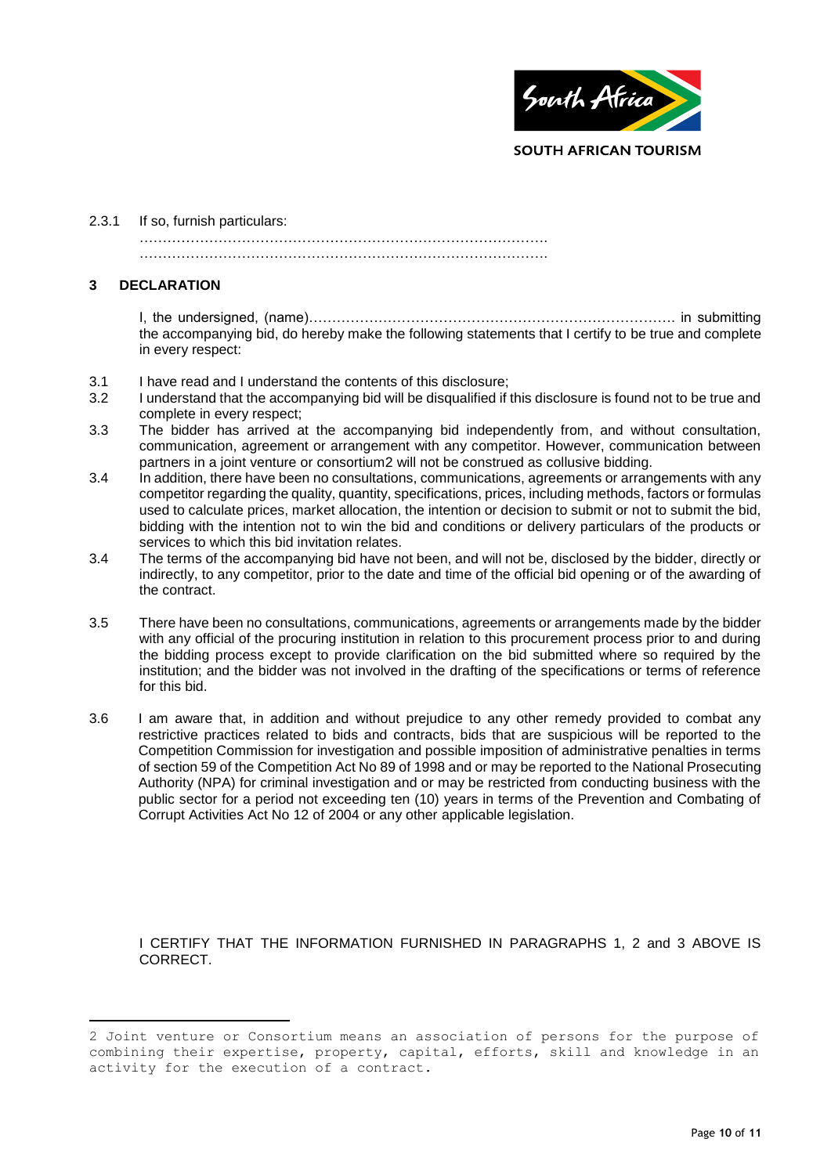

### 2.3.1 If so, furnish particulars:

…………………………………………………………………………….

…………………………………………………………………………….

### **3 DECLARATION**

 $\overline{a}$ 

I, the undersigned, (name)……………………………………………………………………. in submitting the accompanying bid, do hereby make the following statements that I certify to be true and complete in every respect:

- 3.1 I have read and I understand the contents of this disclosure;
- 3.2 I understand that the accompanying bid will be disqualified if this disclosure is found not to be true and complete in every respect;
- 3.3 The bidder has arrived at the accompanying bid independently from, and without consultation, communication, agreement or arrangement with any competitor. However, communication between partners in a joint venture or consortium2 will not be construed as collusive bidding.
- 3.4 In addition, there have been no consultations, communications, agreements or arrangements with any competitor regarding the quality, quantity, specifications, prices, including methods, factors or formulas used to calculate prices, market allocation, the intention or decision to submit or not to submit the bid, bidding with the intention not to win the bid and conditions or delivery particulars of the products or services to which this bid invitation relates.
- 3.4 The terms of the accompanying bid have not been, and will not be, disclosed by the bidder, directly or indirectly, to any competitor, prior to the date and time of the official bid opening or of the awarding of the contract.
- 3.5 There have been no consultations, communications, agreements or arrangements made by the bidder with any official of the procuring institution in relation to this procurement process prior to and during the bidding process except to provide clarification on the bid submitted where so required by the institution; and the bidder was not involved in the drafting of the specifications or terms of reference for this bid.
- 3.6 I am aware that, in addition and without prejudice to any other remedy provided to combat any restrictive practices related to bids and contracts, bids that are suspicious will be reported to the Competition Commission for investigation and possible imposition of administrative penalties in terms of section 59 of the Competition Act No 89 of 1998 and or may be reported to the National Prosecuting Authority (NPA) for criminal investigation and or may be restricted from conducting business with the public sector for a period not exceeding ten (10) years in terms of the Prevention and Combating of Corrupt Activities Act No 12 of 2004 or any other applicable legislation.

I CERTIFY THAT THE INFORMATION FURNISHED IN PARAGRAPHS 1, 2 and 3 ABOVE IS CORRECT.

<sup>2</sup> Joint venture or Consortium means an association of persons for the purpose of combining their expertise, property, capital, efforts, skill and knowledge in an activity for the execution of a contract.